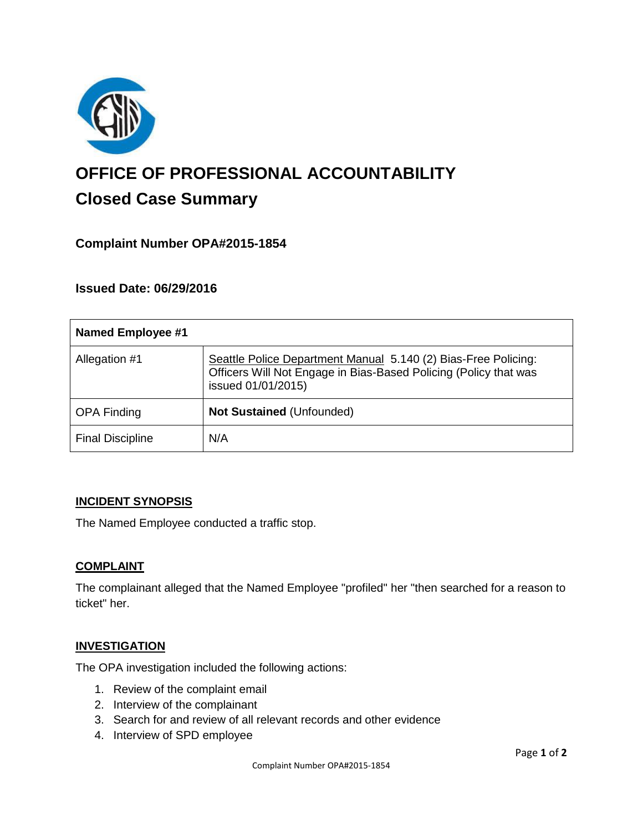

# **OFFICE OF PROFESSIONAL ACCOUNTABILITY Closed Case Summary**

# **Complaint Number OPA#2015-1854**

**Issued Date: 06/29/2016**

| <b>Named Employee #1</b> |                                                                                                                                                          |
|--------------------------|----------------------------------------------------------------------------------------------------------------------------------------------------------|
| Allegation #1            | Seattle Police Department Manual 5.140 (2) Bias-Free Policing:<br>Officers Will Not Engage in Bias-Based Policing (Policy that was<br>issued 01/01/2015) |
| <b>OPA Finding</b>       | Not Sustained (Unfounded)                                                                                                                                |
| <b>Final Discipline</b>  | N/A                                                                                                                                                      |

### **INCIDENT SYNOPSIS**

The Named Employee conducted a traffic stop.

### **COMPLAINT**

The complainant alleged that the Named Employee "profiled" her "then searched for a reason to ticket" her.

### **INVESTIGATION**

The OPA investigation included the following actions:

- 1. Review of the complaint email
- 2. Interview of the complainant
- 3. Search for and review of all relevant records and other evidence
- 4. Interview of SPD employee